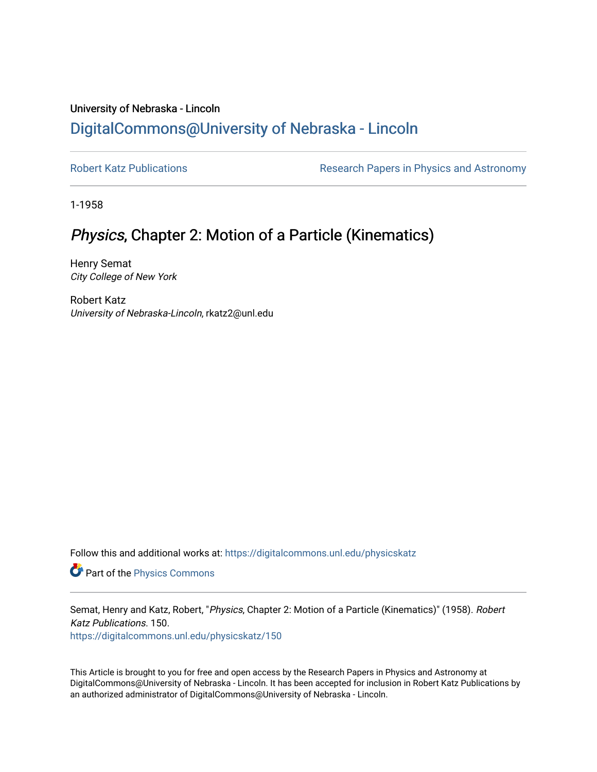# University of Nebraska - Lincoln [DigitalCommons@University of Nebraska - Lincoln](https://digitalcommons.unl.edu/)

[Robert Katz Publications](https://digitalcommons.unl.edu/physicskatz) **Research Papers in Physics and Astronomy** 

1-1958

# Physics, Chapter 2: Motion of a Particle (Kinematics)

Henry Semat City College of New York

Robert Katz University of Nebraska-Lincoln, rkatz2@unl.edu

Follow this and additional works at: [https://digitalcommons.unl.edu/physicskatz](https://digitalcommons.unl.edu/physicskatz?utm_source=digitalcommons.unl.edu%2Fphysicskatz%2F150&utm_medium=PDF&utm_campaign=PDFCoverPages)

Part of the [Physics Commons](http://network.bepress.com/hgg/discipline/193?utm_source=digitalcommons.unl.edu%2Fphysicskatz%2F150&utm_medium=PDF&utm_campaign=PDFCoverPages)

Semat, Henry and Katz, Robert, "Physics, Chapter 2: Motion of a Particle (Kinematics)" (1958). Robert Katz Publications. 150.

[https://digitalcommons.unl.edu/physicskatz/150](https://digitalcommons.unl.edu/physicskatz/150?utm_source=digitalcommons.unl.edu%2Fphysicskatz%2F150&utm_medium=PDF&utm_campaign=PDFCoverPages)

This Article is brought to you for free and open access by the Research Papers in Physics and Astronomy at DigitalCommons@University of Nebraska - Lincoln. It has been accepted for inclusion in Robert Katz Publications by an authorized administrator of DigitalCommons@University of Nebraska - Lincoln.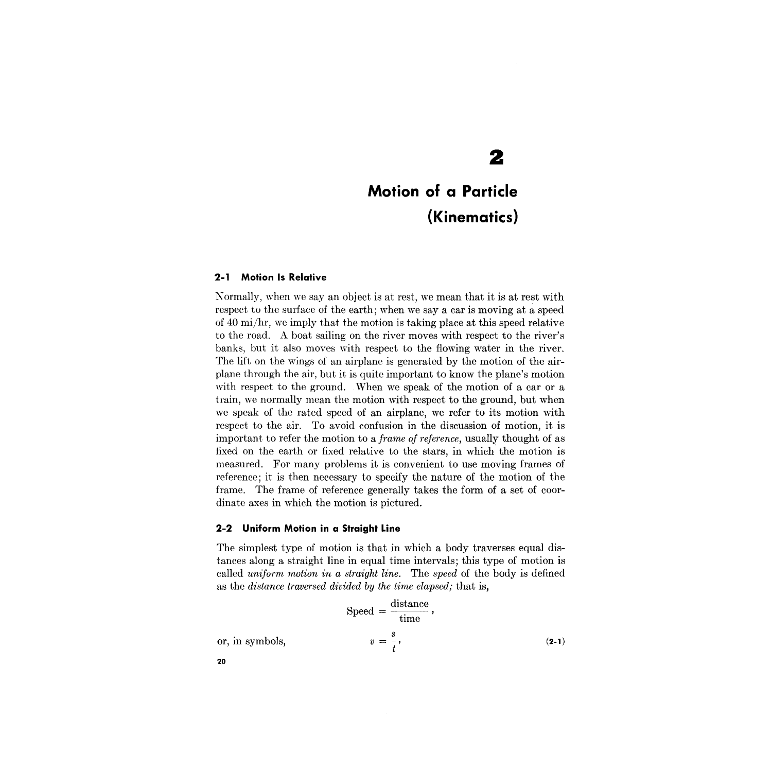# 2 **Motion of a Particle (Kinematics)**

# **2-1 Motion Is Relative**

Kormally, when we sayan object is at rest, we mean that it is at rest with respect to the surface of the earth; when we say a car is moving at a speed of 40 mi/hr, we imply that the motion is taking place at this speed relative to the road. A boat sailing on the river moves with respect to the river's banks, but it also moves with respect to the flowing water in the river. The lift on the wings of an airplane is generated by the motion of the airplane through the air, but it is quite important to know the plane's motion with respect to the ground. When we speak of the motion of a car or a train, we normally mean the motion with respect to the ground, but when we speak of the rated speed of an airplane, we refer to its motion with respect to the air. To avoid confusion in the discussion of motion, it is important to refer the motion to a *frame of reference,* usually thought of as fixed on the earth or fixed relative to the stars, in which the motion is measured. For many problems it is convenient to use moving frames of reference; it is then necessary to specify the nature of the motion of the frame. The frame of reference generally takes the form of a set of coordinate axes in which the motion is pictured.

# **2-2 Uniform Motion in a Straight Line**

The simplest type of motion is that in which a body traverses equal distances along a straight line in equal time intervals; this type of motion is called *uniform motion in a straight line.* The *speed* of the body is defined as the *distance traversed divided by the time elapsed;* that is,

Speed = 
$$
\frac{\text{distance}}{\text{time}}
$$
,  

$$
v = \frac{s}{t}, \qquad (2-1)
$$

or, in symbols,

**20**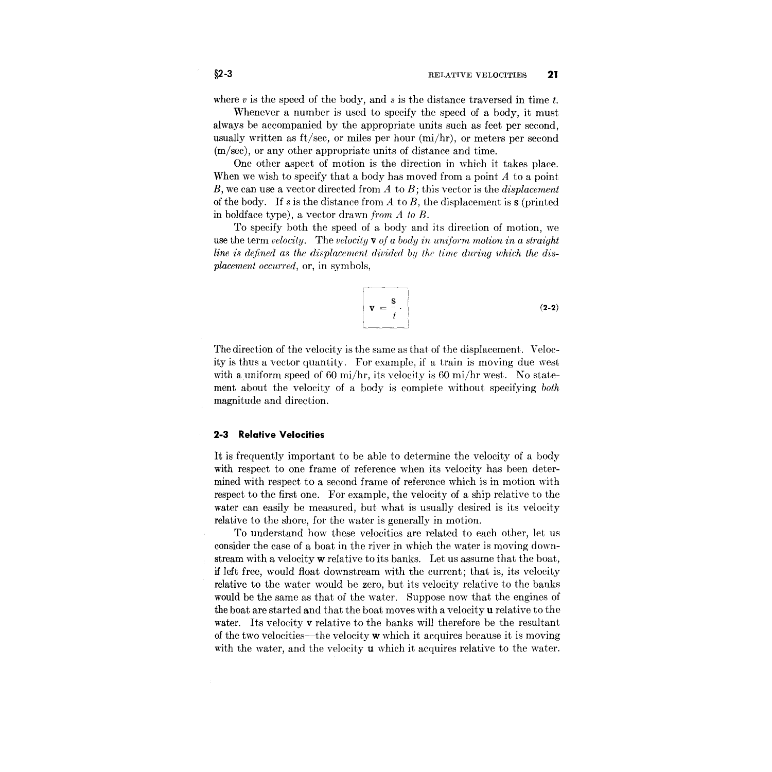where *v* is the speed of the body, and *s* is the distance traversed in time *t.*

Whenever a number is used to specify the speed of a body, it must always be accompanied by the appropriate units such as feet per second, usually written as ft/sec, or miles per hour (mi/hr), or meters per second (m/sec), or any other appropriate units of distance and time.

One other aspect of motion is the direction in which it takes place. When we wish to specify that a body has moved from a point *A* to a point *B,* we can use a vector directed from *A* to *B;* this vector is the *displacement* of the body. If *s* is the distance from *A* to *B,* the displacement is s (printed in boldface type), a vector drawn *from A* <sup>10</sup> *B.*

To specify both the speed of a body and its direction of motion, we use the term *velocity*. The *velocity*  $\bf{v}$  *of*  $\bf{a}$  *body in uniform motion in*  $\bf{a}$  *straight line is defined as the displacement divided by Ihe lime during which the displacement occurred,* or, in symbols, ~-

$$
\mathbf{v} = \frac{\mathbf{s}}{t} \tag{2-2}
$$

The direction of the velocity is the same as that of the displacement. Velocity is thus a vector quantity. For example, if a train is moving due west with a uniform speed of 60 mi/hr, its velocity is 60 mi/hr west. No statement about the velocity of a body is complete without specifying *both* magnitude and direction.

## **2-3 Relative Velocities**

It is frequently important to be able to determine the velocity of a body with respect to one frame of reference when its velocity has been determined with respect to a second frame of reference which is in motion with respect to the first one. For example, the velocity of a ship relative to the water can easily be measured, but what is usually desired is its velocity relative to the shore, for the water is generally in motion.

To understand how these velocities are related to each other, let us consider the case of a boat in the river in which the water is moving downstream with a velocity w relative to its banks. Let us assume that the boat, if left free, would float downstream with the current; that is, its velocity relative to the water would be zero, but its velocity relative to the banks would be the same as that of the water. Suppose now that the engines of the boat are started and that the boat moves with a velocity u relative to the water. Its velocity **v** relative to the banks will therefore be the resultant of the two velocities—the velocity **w** which it acquires because it is moving with the water, and the velocity **u** which it acquires relative to the water.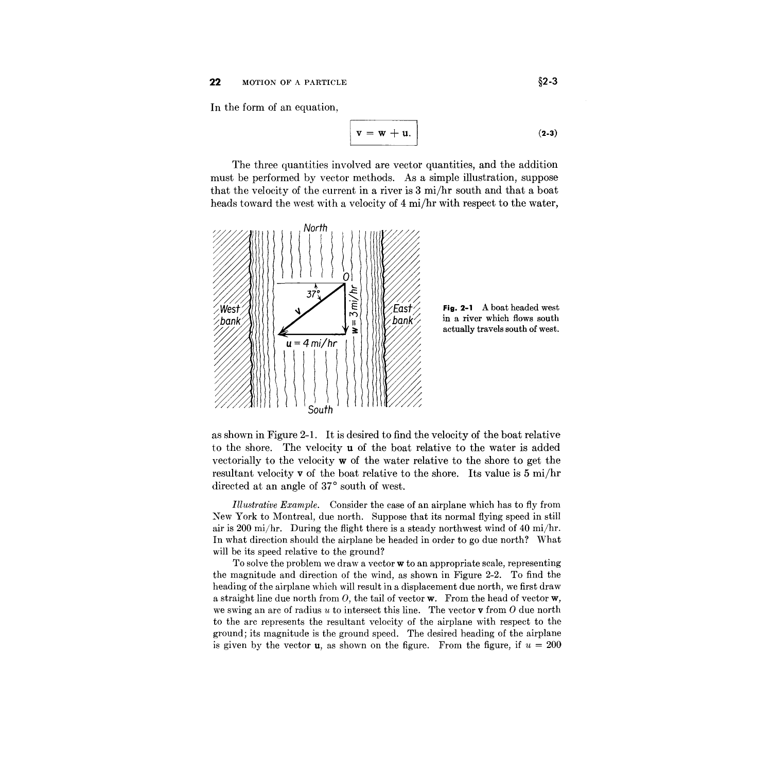In the form of an equation,

$$
\mathbf{v} = \mathbf{w} + \mathbf{u}.\tag{2-3}
$$

The three quantities involved are vector quantities, and the addition must be performed by vector methods. As a simple illustration, suppose that the velocity of the current in a river is 3 mi/hr south and that a boat heads toward the west with a velocity of 4 mi/hr with respect to the water,



Fig. 2-1 A boat headed west in a river which flows south actually travels south of west.

as shown in Figure 2-1. It is desired to find the velocity of the boat relative to the shore. The velocity u of the boat relative to the water is added vectorially to the velocity w of the water relative to the shore to get the resultant velocity v of the boat relative to the shore. Its value is 5 mi/hr directed at an angle of 37° south of west.

*Illustrative Example.* Consider the case of an airplane which has to fly from New York to Montreal, due north. Suppose that its normal flying speed in still air is 200 mi/hr. During the flight there is a steady northwest wind of 40 mi/hr. In what direction should the airplane be headed in order to go due north? What will be its speed relative to the ground?

To solve the problem we draw a vector w to an appropriate scale, representing the magnitude and direction of the wind, as shown in Figure 2-2. To find the heading of the airplane which will result in a displacement due north, we first draw a straight line due north from  $O$ , the tail of vector **w**. From the head of vector **w**, we swing an arc of radius  $u$  to intersect this line. The vector  $\bf{v}$  from  $\bf{0}$  due north to the arc represents the resultant velocity of the airplane with respect to the ground; its magnitude is the ground speed. The desired heading of the airplane is given by the vector **u**, as shown on the figure. From the figure, if  $u = 200$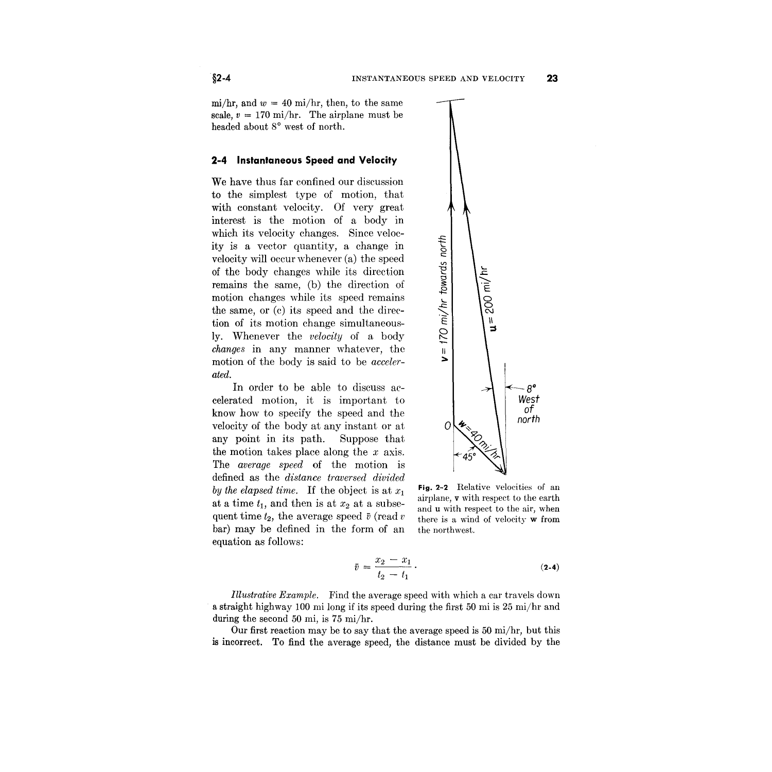mi/hr, and  $w = 40$  mi/hr, then, to the same scale,  $v = 170$  mi/hr. The airplane must be headed about 8° west of north.

# **2-4 Instantaneous Speed and Velocity**

We have thus far confined our discussion to the simplest type of motion, that with constant velocity. Of very great interest is the motion of a body in which its velocity changes. Since velocity is a vector quantity, a change in velocity will occur whenever (a) the speed of the body changes while its direction remains the same, (b) the direction of motion changes while its speed remains the same, or (c) its speed and the direction of its motion change simultaneously. Whenever the *velocity* of a body *changes* in any manner whatever, the motion of the body is said to be *accelerated.*

In order to be able to discuss accelerated motion, it is important to know how to specify the speed and the velocity of the body at any instant or at any point in its path. Suppose that the motion takes place along the *x* axis. The *average speed* of the motion is defined as the *distance traversed divided by* the elapsed time. If the object is at  $x_1$ at a time  $t_1$ , and then is at  $x_2$  at a subsequent time  $t_2$ , the average speed  $\bar{v}$  (read  $v$ bar) may be defined in the form of an equation as follows:





*Illustrative Example.* Find the average speed with which a car travels down a straight highway 100 mi long if its speed during the first 50 mi is  $25 \text{ mi/hr}$  and during the second 50 mi, is  $75 \text{ mi/hr}$ .

Our first reaction may be to say that the average speed is  $50 \text{ mi/hr}$ , but this is incorrect. To find the average speed, the distance must be divided by the

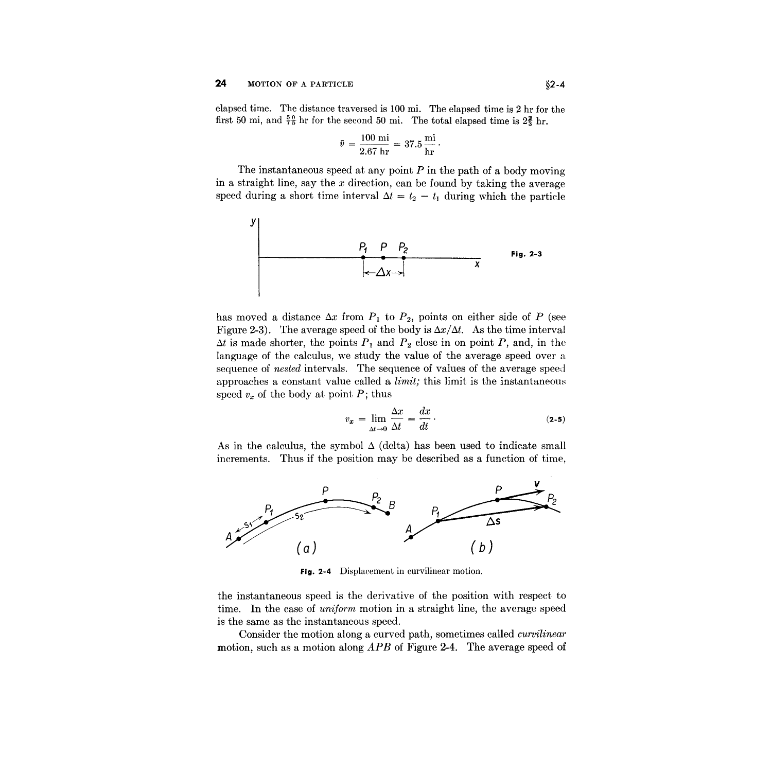elapsed time. The distance traversed is  $100 \text{ mi}$ . The elapsed time is  $2 \text{ hr}$  for the first 50 mi, and  $\frac{50}{75}$  hr for the second 50 mi. The total elapsed time is  $2\frac{2}{3}$  hr.

$$
\bar{v} = \frac{100 \text{ mi}}{2.67 \text{ hr}} = 37.5 \frac{\text{mi}}{\text{hr}}.
$$

The instantaneous speed at any point *P* in the path of a body moving in a straight line, say the *x* direction, can be found by taking the average speed during a short time interval  $\Delta t = t_2 - t_1$  during which the particle



has moved a distance  $\Delta x$  from  $P_1$  to  $P_2$ , points on either side of P (see Figure 2-3). The average speed of the body is  $\Delta x/\Delta t$ . As the time interval  $\Delta t$  is made shorter, the points  $P_1$  and  $P_2$  close in on point P, and, in the language of the calculus, we study the value of the average speed over a sequence of *nested* intervals. The sequence of values of the average speed approaches a constant value called a *limit*; this limit is the instantaneous speed  $v_x$  of the body at point  $P$ ; thus

$$
v_x = \lim_{\Delta t \to 0} \frac{\Delta x}{\Delta t} = \frac{dx}{dt}.
$$
 (2-5)

As in the calculus, the symbol  $\Delta$  (delta) has been used to indicate small increments. Thus if the position may be described as a function of time,



Fig. 2-4 Displacement in curvilinear motion.

the instantaneous speed is the derivative of the position with respect to time. In the case of *uniform* motion in a straight line, the average speed is the same as the instantaneous speed.

Consider the motion along a curved path, sometimes called *curvilinear* motion, such as a motion along *APB* of Figure 2-4. The average speed of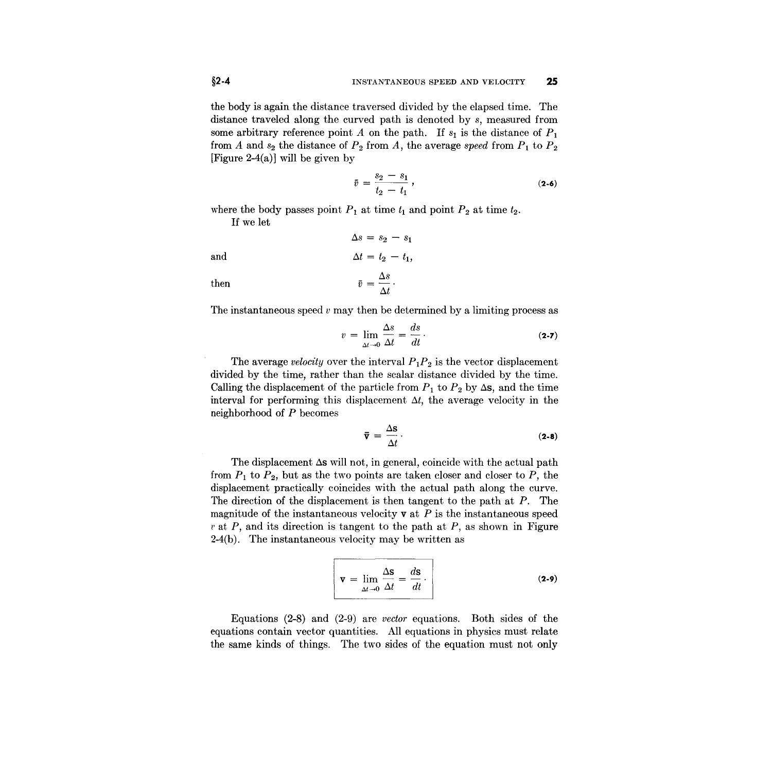the body is again the distance traversed divided by the elapsed time. The distance traveled along the curved path is denoted by *s,* measured from some arbitrary reference point A on the path. If  $s_1$  is the distance of  $P_1$ from *A* and  $s_2$  the distance of  $P_2$  from *A*, the average *speed* from  $P_1$  to  $P_2$ [Figure 2-4(a)] will be given by

$$
\bar{v} = \frac{s_2 - s_1}{t_2 - t_1},
$$
\n(2-6)

where the body passes point  $P_1$  at time  $t_1$  and point  $P_2$  at time  $t_2$ .

If we let

and

then 
$$
\bar{v} = \frac{\Delta s}{\Delta t}.
$$

The instantaneous speed *v* may then be determined by a limiting process as

 $\Delta t = t_2 - t_1,$ 

 $\Delta s = s_2 - s_1$ 

$$
v = \lim_{\Delta t \to 0} \frac{\Delta s}{\Delta t} = \frac{ds}{dt}.
$$
 (2-7)

The average *velocity* over the interval  $P_1P_2$  is the vector displacement divided by the time, rather than the scalar distance divided by the time. Calling the displacement of the particle from  $P_1$  to  $P_2$  by  $\Delta s$ , and the time interval for performing this displacement  $\Delta t$ , the average velocity in the neighborhood of *P* becomes

$$
\bar{\mathbf{v}} = \frac{\Delta \mathbf{s}}{\Delta t} \tag{2-8}
$$

The displacement  $\Delta s$  will not, in general, coincide with the actual path from  $P_1$  to  $P_2$ , but as the two points are taken closer and closer to  $P$ , the displacement practically coincides with the actual path along the curve. The direction of the displacement is then tangent to the path at *P.* The magnitude of the instantaneous velocity v at *P* is the instantaneous speed  $v$  at P, and its direction is tangent to the path at P, as shown in Figure 2-4(b). The instantaneous velocity may be written as

$$
\mathbf{v} = \lim_{\Delta t \to 0} \frac{\Delta \mathbf{s}}{\Delta t} = \frac{d\mathbf{s}}{dt}.
$$
 (2-9)

Equations (2-8) and (2-9) are *vector* equations. Both sides of the equations contain vector quantities. All equations in physics must relate the same kinds of things. The two sides of the equation must not only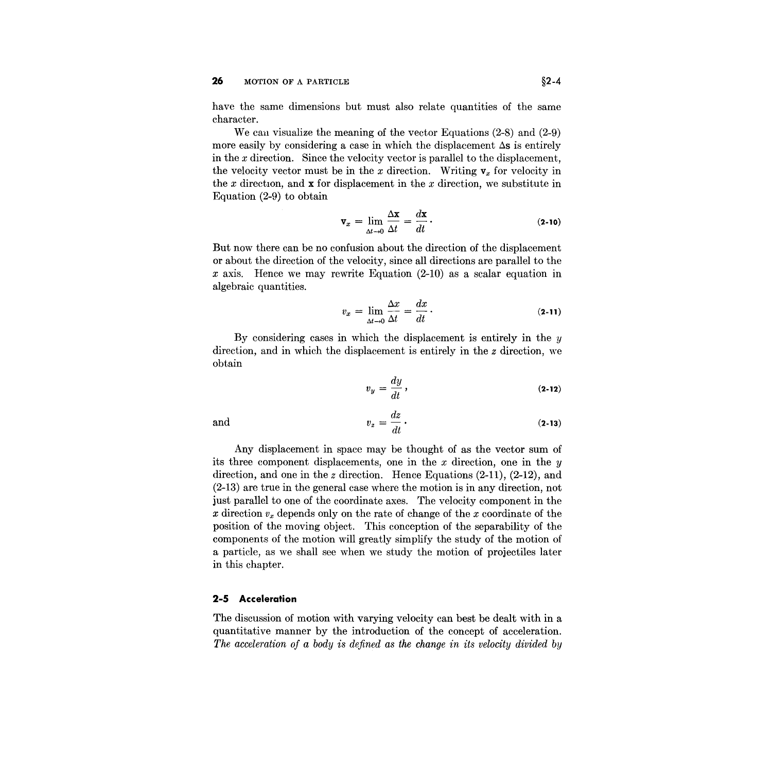have the same dimensions but must also relate quantities of the same character.

We can visualize the meaning of the vector Equations  $(2-8)$  and  $(2-9)$ more easily by considering a case in which the displacement  $\Delta s$  is entirely in the *x* direction. Since the velocity vector is parallel to the displacement, the velocity vector must be in the *x* direction. Writing  $v_x$  for velocity in the  $x$  direction, and  $x$  for displacement in the  $x$  direction, we substitute in Equation (2-9) to obtain

$$
\mathbf{v}_x = \lim_{\Delta t \to 0} \frac{\Delta \mathbf{x}}{\Delta t} = \frac{d\mathbf{x}}{dt}.
$$
 (2-10)

But now there can be no confusion about the direction of the displacement or about the direction of the velocity, since all directions are parallel to the *x* axis. Hence we may rewrite Equation (2-10) as a scalar equation in algebraic quantities.

$$
v_x = \lim_{\Delta t \to 0} \frac{\Delta x}{\Delta t} = \frac{dx}{dt}.
$$
 (2-11)

By considering cases in which the displacement is entirely in the *y* direction, and in which the displacement is entirely in the *z* direction, we obtain

$$
v_y = \frac{dy}{dt},\tag{2-12}
$$

and 
$$
v_z = \frac{dz}{dt}.
$$
 (2-13)

Any displacement in space may be thought of as the vector sum of its three component displacements, one in the *x* direction, one in the *y* direction, and one in the *z* direction. Hence Equations (2-11), (2-12), and (2-13) are true in the general case where the motion is in any direction, not just parallel to one of the coordinate axes. The velocity component in the *x* direction <sup>V</sup>*<sup>x</sup>* depends only on the rate of change of the *x* coordinate of the position of the moving object. This conception of the separability of the components of the motion will greatly simplify the study of the motion of a particle, as we shall see when we study the motion of projectiles later in this chapter.

# **2-5 Acceleration**

The discussion of motion with varying velocity can best be dealt with in a quantitative manner by the introduction of the concept of acceleration. *The acceleration of a body* is *defined as the change in its velocity divided by*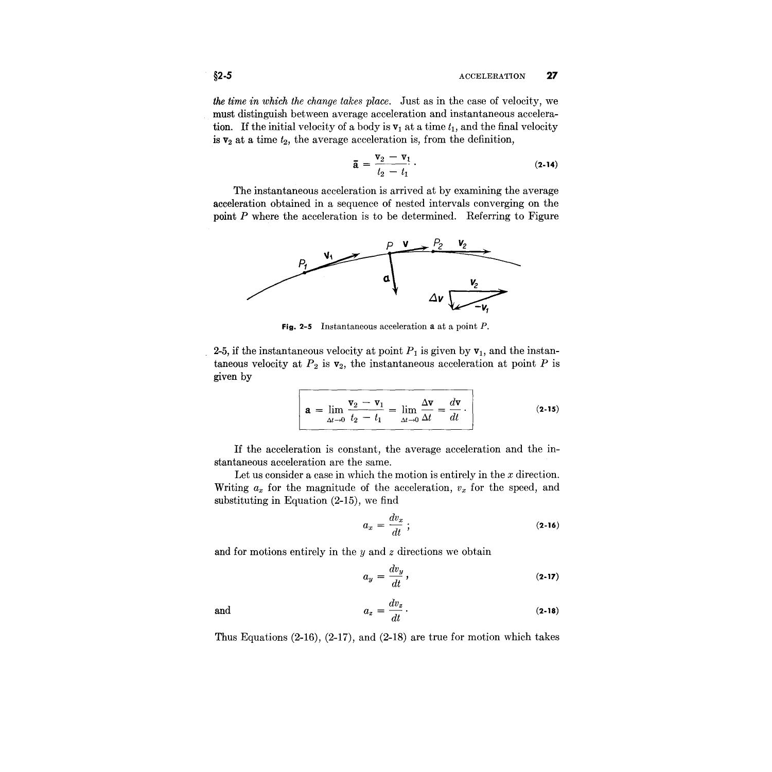*the time in which the change takes place.* Just as in the case of velocity, we must distinguish between average acceleration and instantaneous acceleration. If the initial velocity of a body is  $v_1$  at a time  $t_1$ , and the final velocity is  $v_2$  at a time  $t_2$ , the average acceleration is, from the definition,

$$
\overline{\mathbf{a}} = \frac{\mathbf{v}_2 - \mathbf{v}_1}{t_2 - t_1} \tag{2-14}
$$

The instantaneous acceleration is arrived at by examining the average acceleration obtained in a sequence of nested intervals converging on the point  $P$  where the acceleration is to be determined. Referring to Figure



**Fig. 2-5** Instantaneous acceleration a at a point P.

2-5, if the instantaneous velocity at point  $P_1$  is given by  $v_1$ , and the instantaneous velocity at  $P_2$  is  $v_2$ , the instantaneous acceleration at point P is given by

$$
\mathbf{a} = \lim_{\Delta t \to 0} \frac{\mathbf{v}_2 - \mathbf{v}_1}{t_2 - t_1} = \lim_{\Delta t \to 0} \frac{\Delta \mathbf{v}}{\Delta t} = \frac{d\mathbf{v}}{dt} \,. \tag{2-15}
$$

If the acceleration is constant, the average acceleration and the instantaneous acceleration are the same.

Let us consider a case in which the motion is entirely in the *x* direction. Writing  $a_x$  for the magnitude of the acceleration,  $v_x$  for the speed, and substituting in Equation (2-15), we find

$$
a_x = \frac{dv_x}{dt} \t{; \t(2-16)}
$$

and for motions entirely in the y and *z* directions we obtain

$$
a_y = \frac{dv_y}{dt},\tag{2-17}
$$

$$
\quad\text{and}\quad
$$

 $a_z = \frac{dv_z}{dt}$  (2-18)

Thus Equations (2-16), (2-17), and (2-18) are true for motion which takes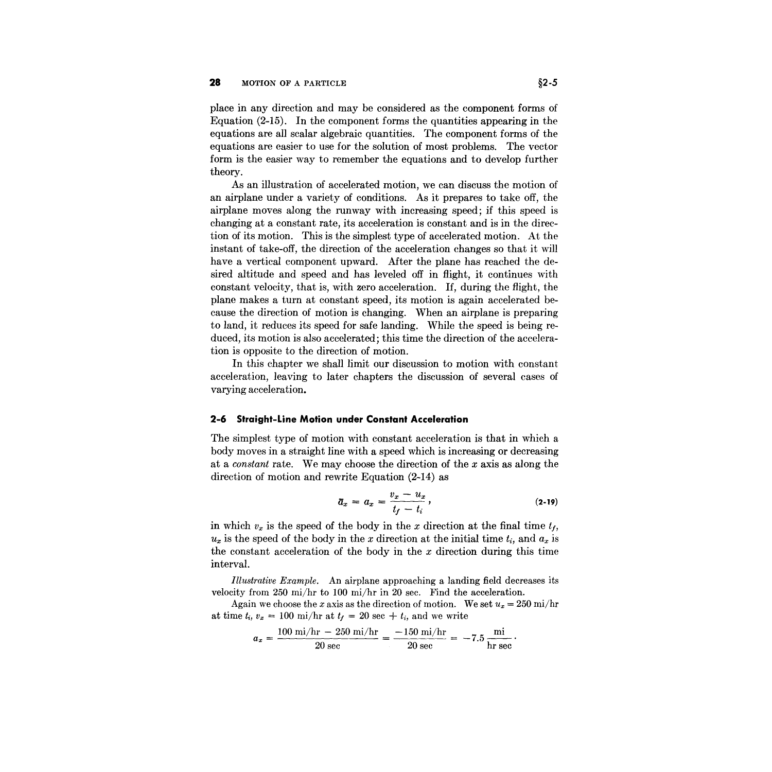place in any direction and may be considered as the component forms of Equation (2-15). In the component forms the quantities appearing in the equations are all scalar algebraic quantities. The component forms of the equations are easier to use for the solution of most problems. The vector form is the easier way to remember the equations and to develop further theory.

As an illustration of accelerated motion, we can discuss the motion of an airplane under a variety of conditions. As it prepares to take off, the airplane moves along the runway with increasing speed; if this speed is changing at a constant rate, its acceleration is constant and is in the direction of its motion. This is the simplest type of accelerated motion. At the instant of take-off, the direction of the acceleration changes so that it will have a vertical component upward. *Mter* the plane has reached the desired altitude and speed and has leveled off in flight, it continues with constant velocity, that is, with zero acceleration. If, during the flight, the plane makes a turn at constant speed, its motion is again accelerated because the direction of motion is changing. When an airplane is preparing to land, it reduces its speed for safe landing. While the speed is being reduced, its motion is also accelerated; this time the direction of the acceleration is opposite to the direction of motion.

In this chapter we shall limit our discussion to motion with constant acceleration, leaving to later chapters the discussion of several cases of varying acceleration.

# **2-6 Straight-Line Motion under Constant Acceleration**

The simplest type of motion with constant acceleration is that in which a body moves in a straight line with a speed which is increasing or decreasing at a constant rate. We may choose the direction of the x axis as along the direction of motion and rewrite Equation (2-14) as

$$
\bar{a}_x = a_x = \frac{v_x - u_x}{t_f - t_i}, \qquad (2.19)
$$

in which  $v_x$  is the speed of the body in the *x* direction at the final time  $t_f$ ,  $u_x$  is the speed of the body in the *x* direction at the initial time  $t_i$ , and  $a_x$  is the constant acceleration of the body in the *x* direction during this time interval.

*Illustrative Example.* An airplane approaching a landing field decreases its velocity from 250 mi/hr to 100 mi/hr in 20 sec. Find the acceleration.

Again we choose the *x* axis as the direction of motion. We set  $u_x = 250$  mi/hr at time  $t_i$ ,  $v_x = 100$  mi/hr at  $t_f = 20$  sec  $+t_i$ , and we write

$$
a_x = \frac{100 \text{ mi/hr} - 250 \text{ mi/hr}}{20 \text{ sec}} = \frac{-150 \text{ mi/hr}}{20 \text{ sec}} = -7.5 \frac{\text{mi}}{\text{hr sec}}.
$$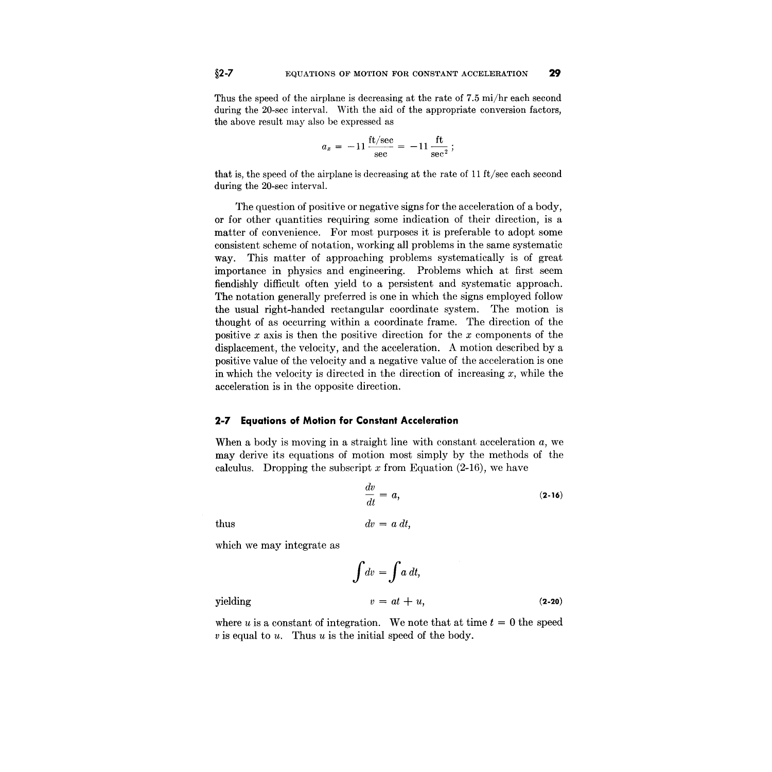Thus the speed of the airplane is decreasing at the rate of 7.5 mi/hr each second during the 20-sec interval. With the aid of the appropriate conversion factors, the above result may also be expressed as

$$
a_x = -11 \frac{\text{ft/sec}}{\text{sec}} = -11 \frac{\text{ft}}{\text{sec}^2};
$$

that is, the speed of the airplane is decreasing at the rate of 11 ft/sec each second during the 20-sec interval.

The question of positive or negative signs for the acceleration of a body, or for other quantities requiring some indication of their direction, is a matter of convenience. For most purposes it is preferable to adopt some consistent scheme of notation, working all problems in the same systematic way. This matter of approaching problems systematically is of great importance in physics and engineering. Problems which at first seem fiendishly difficult often yield to a persistent and systematic approach. The notation generally preferred is one in which the signs employed follow the usual right-handed rectangular coordinate system. The motion is thought of as occurring within a coordinate frame. The direction of the positive *x* axis is then the positive direction for the *x* components of the displacement, the velocity, and the acceleration. A motion described by a positive value of the velocity and a negative value of the acceleration is one in which the velocity is directed in the direction of increasing *x,* while the acceleration is in the opposite direction.

#### **2-7 Equations of Motion for Constant Acceleration**

When a body is moving in a straight line with constant acceleration *a,* we may derive its equations of motion most simply by the methods of the calculus. Dropping the subscript  $x$  from Equation  $(2-16)$ , we have

$$
\frac{dv}{dt} = a,
$$
\n(2-16)\n  
\n
$$
dv = a dt,
$$

thus

which we may integrate as

$$
\int dv = \int a dt,
$$
\n
$$
v = at + u,
$$
\n(2-20)

yielding

where  $u$  is a constant of integration. We note that at time  $t = 0$  the speed *v* is equal to *u.* Thus *u* is the initial speed of the body.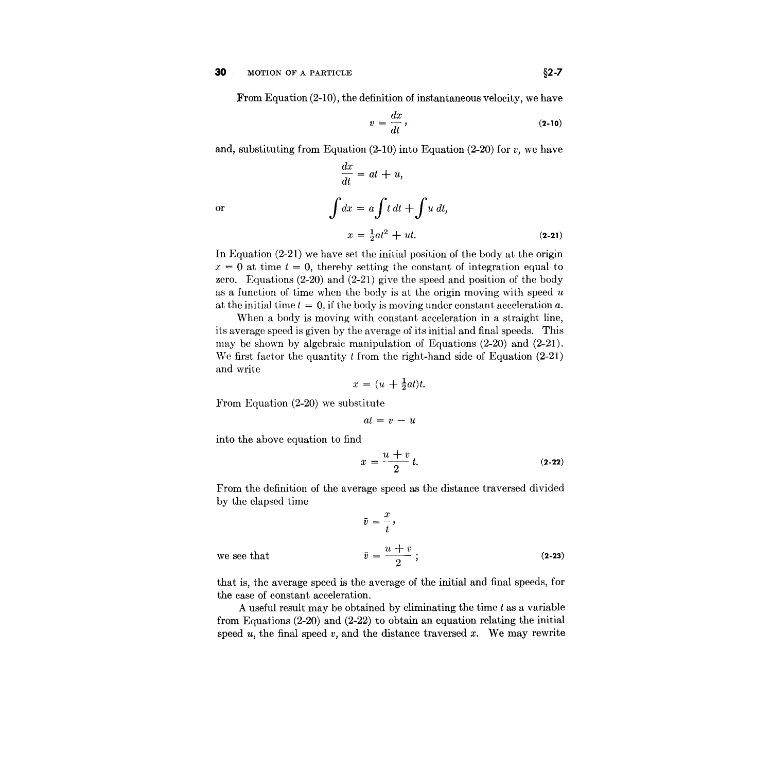From Equation (2-10), the definition of instantaneous velocity, we have

$$
v = \frac{dx}{dt},
$$
 (2-10)

and, substituting from Equation (2-10) into Equation (2-20) for *v,* we have

$$
\frac{dx}{dt} = at + u,
$$
  
or  

$$
\int dx = a \int t dt + \int u dt,
$$
  

$$
x = \frac{1}{2}at^2 + ut.
$$
 (2-21)

In Equation (2-21) we have set the initial position of the body at the origin  $x = 0$  at time  $t = 0$ , thereby setting the constant of integration equal to zero. Equations (2-20) and (2-21) give the speed and position of the body as a function of time when the body is at the origin moving with speed *u* at the initial time  $t = 0$ , if the body is moving under constant acceleration  $a$ .

When a body is moving with constant acceleration in a straight line, its average speed is given by the average of its initial and final speeds. This may be shown by algebraic manipulation of Equations (2-20) and (2-21). We first factor the quantity *t* from the right-hand side of Equation (2-21) and write

$$
x = (u + \frac{1}{2}at)t.
$$

From Equation (2-20) we substitute

 $at = v - u$ 

into the above equation to find

$$
x = \frac{u+v}{2}t. \tag{2-22}
$$

From the definition of the average speed as the distance traversed divided by the elapsed time

$$
\bar{v} = \frac{x}{t},
$$
\nwe see that\n
$$
\bar{v} = \frac{u+v}{2};
$$
\n(2-23)

that is, the average speed is the average of the initial and final speeds, for the case of constant acceleration.

A useful result may be obtained by eliminating the time *t* as a variable from Equations (2-20) and (2-22) to obtain an equation relating the initial speed  $u$ , the final speed  $v$ , and the distance traversed  $x$ . We may rewrite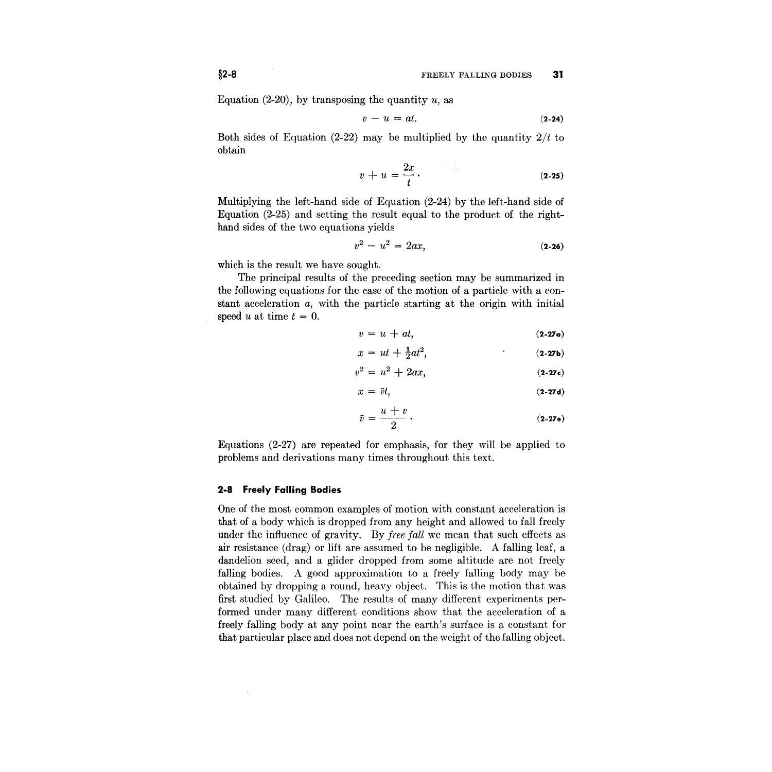Equation  $(2-20)$ , by transposing the quantity *u*, as

$$
v - u = at. \tag{2-24}
$$

Both sides of Equation (2-22) may be multiplied by the quantity *2/t* to obtain

$$
v + u = \frac{2x}{t}.
$$
 (2-25)

Multiplying the left-hand side of Equation (2-24) by the left-hand side of Equation (2-25) and setting the result equal to the product of the righthand sides of the two equations yields

$$
v^2 - u^2 = 2ax,\t(2-26)
$$

which is the result we have sought.

The principal results of the preceding section may be summarized in the following equations for the case of the motion of a particle with a constant acceleration *a,* with the particle starting at the origin with initial speed *u* at time  $t = 0$ .

$$
v = u + at, \tag{2-27a}
$$

$$
x = ut + \frac{1}{2}at^2, \qquad (2-27b)
$$

$$
v^2 = u^2 + 2ax,
$$
 (2-27c)

$$
x = \bar{v}t, \tag{2-27d}
$$

$$
\bar{v} = \frac{u+v}{2} \,. \tag{2-27e}
$$

Equations (2-27) are repeated for emphasis, for they will be applied to problems and derivations many times throughout this text.

# **2-8 Freely Falling Bodies**

One of the most common examples of motion with constant acceleration is that of a body which is dropped from any height and allowed to fall freely under the influence of gravity. By *free fall* we mean that such effects as air resistance (drag) or lift are assumed to be negligible. A falling leaf, a dandelion seed, and a glider dropped from some altitude are not freely falling bodies. A good approximation to a freely falling body may be obtained by dropping a round, heavy object. This is the motion that was first studied by Galileo. The results of many different experiments performed under many different conditions show that the acceleration of a freely falling body at any point near the earth's surface is a constant for that particular place and does not depend on the weight of the falling object.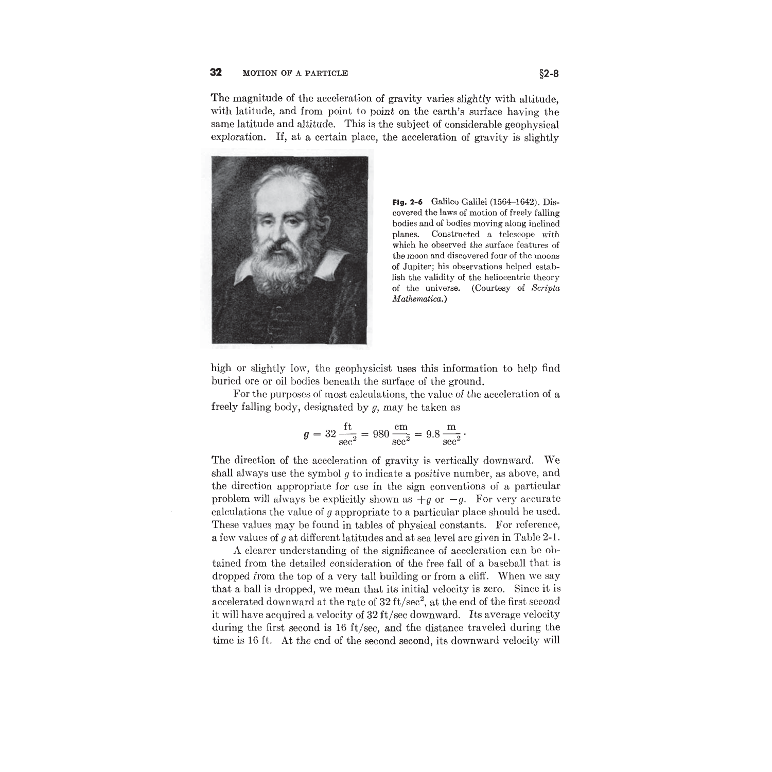The magnitude of the acceleration of gravity varies slightly with altitude, with latitude, and from point to point on the earth's surface having the same latitude and altitude. This is the subject of considerable geophysical exploration. If, at a certain place, the acceleration of gravity is slightly



**Fig. 2-6** Galileo Galilei (1564-1642). Discovered the laws of motion of freely falling bodies and of bodies moving along inclined planes. Constructed a telescope with which he observed the surface features of the moon and discovered four of the moons of Jupiter; his observations helped establish the validity of the heliocentric theory of the universe. (Courtesy of *Scripta M athematica.)*

high or slightly low, the geophysicist uses this information to help find buried ore or oil bodies beneath the surface of the ground.

For the purposes of most calculations, the value of the acceleration of a freely falling body, designated by  $g$ , may be taken as

$$
g = 32 \frac{\text{ft}}{\text{sec}^2} = 980 \frac{\text{cm}}{\text{sec}^2} = 9.8 \frac{\text{m}}{\text{sec}^2}.
$$

The direction of the acceleration of gravity is vertically downward. We shall always use the symbol  $q$  to indicate a positive number, as above, and the direction appropriate for use in the sign conventions of a particular problem will always be explicitly shown as  $+q$  or  $-q$ . For very accurate calculations the value of *g* appropriate to a particular place should be used. These values may be found in tables of physical constants. For reference, a few values of g at different latitudes and at sea level are given in Table 2-1.

A clearer understanding of the significance of acceleration can be obtained from the detailed consideration of the free fall of a baseball that is dropped from the top of a very tall building or from a cliff. When we say that a ball is dropped, we mean that its initial velocity is zero. Since it is accelerated downward at the rate of  $32 \text{ ft/sec}^2$ , at the end of the first second it will have acquired a velocity of 32 ft/sec downward. Its average velocity during the first second is 16 ft/sec, and the distance traveled during the time is 16 ft. At the end of the second second, its downward velocity will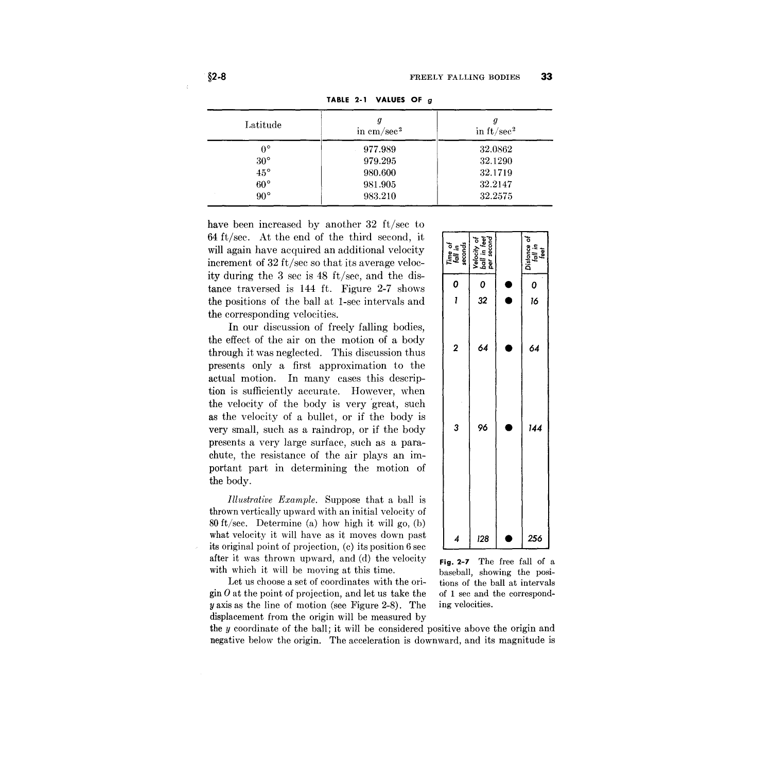| Latitude     | in cm/sec <sup>2</sup> | у<br>in $ft/sec2$ |
|--------------|------------------------|-------------------|
| $0^{\circ}$  | 977.989                | 32.0862           |
| $30^{\circ}$ | 979.295                | 32.1290           |
| $45^{\circ}$ | 980.600                | 32.1719           |
| $60^{\circ}$ | 981.905                | 32.2147           |
| $90^{\circ}$ | 983.210                | 32.2575           |

**TABLE** 2-1 **VALUES OF 9**

have been increased by another 32 ft/sec to 64 ft/sec. At the end of the third second, it will again have acquired an additional velocity increment of 32 ft/sec so that its average velocity during the 3 sec is 48 ft/sec, and the distance traversed is 144 ft. Figure 2-7 shows the positions of the ball at I-sec intervals and the corresponding velocities.

In our discussion of freely falling bodies, the effect of the air on the motion of a body through it was neglected. This discussion thus presents only a first approximation to the actual motion. In many cases this description is sufficiently accurate. However, when the velocity of the body is very 'great, such as the velocity of a bullet, or if the body is very small, such as a raindrop, or if the body presents a very large surface, such as a parachute, the resistance of the air plays an important part in determining the motion of the body.

*Illustrative Example.* Suppose that a ball is thrown vertically upward with an initial velocity of 80 ft/sec. Determine (a) how high it will go, (b) what velocity it will have as it moves down past its original point of projection, (c) its position 6 sec after it was thrown upward, and (d) the velocity with which it will be moving at this time.

Let us choose a set of coordinates with the ori- $\sin \theta$  at the point of projection, and let us take the *y* axis as the line of motion (see Figure 2-8). The displacement from the origin will be measured by

Fig. 2-7 The free fall of a baseball, showing the positions of the ball at intervals of 1 sec and the corresponding velocities.

the *y* coordinate of the ball; it will be considered positive above the origin and negative below the origin. The acceleration is downward, and its magnitude is

| Time of<br>fall in<br>seconds | Velocity of<br>ball in feet<br>per second |                          | Distance of<br>fall in<br>feet |
|-------------------------------|-------------------------------------------|--------------------------|--------------------------------|
|                               |                                           |                          |                                |
| 0                             | 0                                         |                          | 0                              |
| Ī                             | 32                                        | $\overline{\phantom{a}}$ | 16                             |
| 2                             | 64                                        |                          | 64                             |
| 3                             | 96                                        |                          | 144                            |
| 4                             | 128                                       |                          | 256                            |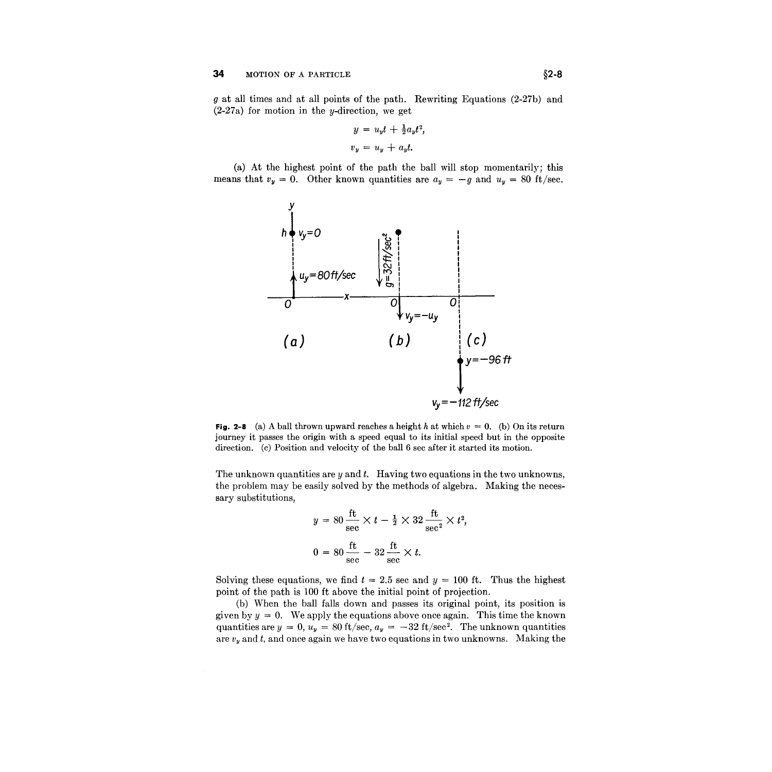g at all times and at all points of the path. Rewriting Equations (2-27b) and (2-27a) for motion in the y-direction, we get

$$
y = u_y t + \frac{1}{2} a_y t^2,
$$
  

$$
v_y = u_y + a_y t.
$$

(a) At the highest point of the path the ball will stop momentarily; this means that  $v_y = 0$ . Other known quantities are  $a_y = -g$  and  $u_y = 80$  ft/sec.



**Fig.** 2-8 (a) A ball thrown upward reaches a height *h* at which  $v = 0$ . (b) On its return journey it passes the origin with a speed equal to its initial speed but in the opposite direction. (c) Position and velocity of the ball 6 sec after it started its motion.

The unknown quantities are *y* and *t.* Having two equations in the two unknowns, the problem may be easily solved by the methods of algebra. Making the necessary substitutions,

$$
y = 80 \frac{\text{ft}}{\text{sec}} \times t - \frac{1}{2} \times 32 \frac{\text{ft}}{\text{sec}^2} \times t^2,
$$
  

$$
0 = 80 \frac{\text{ft}}{\text{sec}} - 32 \frac{\text{ft}}{\text{sec}} \times t.
$$

Solving these equations, we find  $t = 2.5$  sec and  $y = 100$  ft. Thus the highest point of the path is 100 ft above the initial point of projection.

(b) When the ball falls down and passes its original point, its position is given by  $y = 0$ . We apply the equations above once again. This time the known quantities are  $y = 0$ ,  $u_y = 80$  ft/sec,  $a_y = -32$  ft/sec<sup>2</sup>. The unknown quantities are *<sup>V</sup>*<sup>y</sup> and *t,* and once again we have two equations in two unknowns. Making the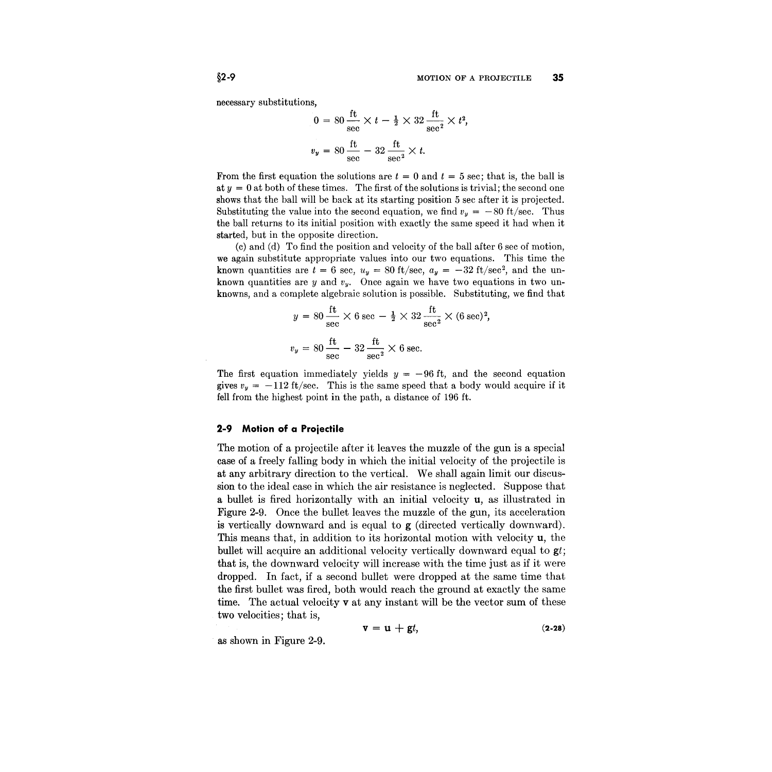necessary substitutions,

$$
0 = 80 \frac{\text{ft}}{\text{sec}} \times t - \frac{1}{2} \times 32 \frac{\text{ft}}{\text{sec}^2} \times t^2,
$$
  

$$
v_y = 80 \frac{\text{ft}}{\text{sec}} - 32 \frac{\text{ft}}{\text{sec}^2} \times t.
$$

From the first equation the solutions are  $t = 0$  and  $t = 5$  sec; that is, the ball is at  $y = 0$  at both of these times. The first of the solutions is trivial; the second one shows that the ball will be back at its starting position 5 sec after it is projected. Substituting the value into the second equation, we find  $v_y = -80$  ft/sec. Thus the ball returns to its initial position with exactly the same speed it had when it started, but in the opposite direction.

(c) and (d) To find the position and velocity of the ball after 6 sec of motion, we again substitute appropriate values into our two equations. This time the known quantities are  $t = 6$  sec,  $u_y = 80$  ft/sec,  $a_y = -32$  ft/sec<sup>2</sup>, and the unknown quantities are *y* and  $v_y$ . Once again we have two equations in two unknowns, and a complete algebraic solution is possible. Substituting, we find that

$$
y = 80 \frac{\text{ft}}{\text{sec}} \times 6 \text{ sec} - \frac{1}{2} \times 32 \frac{\text{ft}}{\text{sec}^2} \times (6 \text{ sec})^2,
$$
  

$$
v_y = 80 \frac{\text{ft}}{\text{sec}} - 32 \frac{\text{ft}}{\text{sec}^2} \times 6 \text{ sec}.
$$

The first equation immediately yields  $y = -96$  ft, and the second equation gives  $v_y = -112$  ft/sec. This is the same speed that a body would acquire if it fell from the highest point in the path, a distance of 196 ft.

#### **2-9 Motion of a Projectile**

The motion of a projectile after it leaves the muzzle of the gun is a special case of a freely falling body in which the initial velocity of the projectile is at any arbitrary direction to the vertical. We shall again limit our discussion to the ideal case in which the air resistance is neglected. Suppose that a bullet is fired horizontally with an initial velocity u, as illustrated in Figure 2-9. Once the bullet leaves the muzzle of the gun, its acceleration is vertically downward and is equal to g (directed vertically downward). This means that, in addition to its horizontal motion with velocity u, the bullet will acquire an additional velocity vertically downward equal to *gt;* that is, the downward velocity will increase with the time just as if it were dropped. In fact, if a second bullet were dropped at the same time that the first bullet was fired, both would reach the ground at exactly the same time. The actual velocity v at any instant will be the vector sum of these two velocities; that is,

$$
\mathbf{v} = \mathbf{u} + \mathbf{g}t, \tag{2-28}
$$

as shown in Figure 2-9.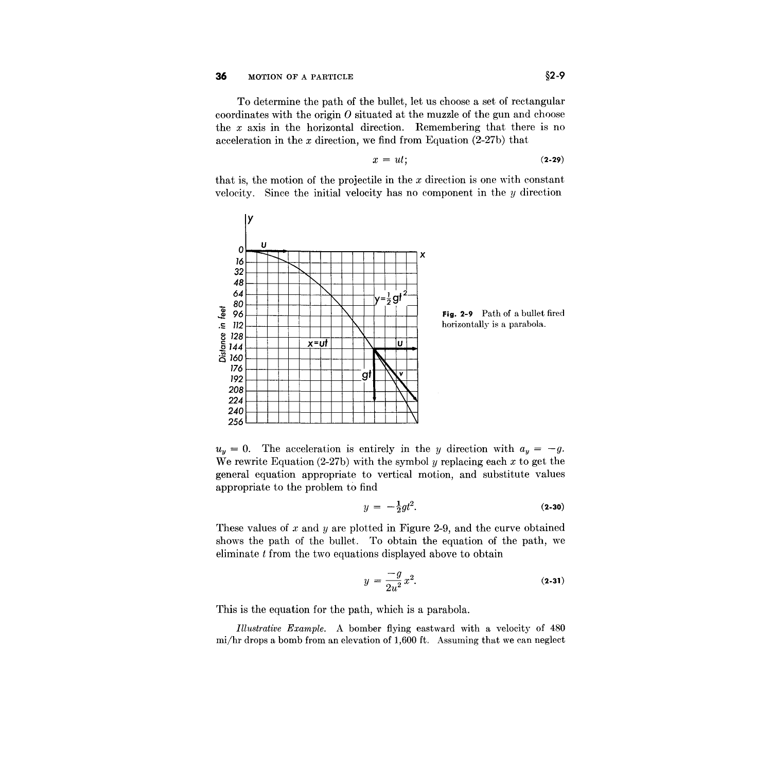To determine the path of the bullet, let us choose a set of rectangular coordinates with the origin  $\overline{O}$  situated at the muzzle of the gun and choose the *x* axis in the horizontal direction. Remembering that there is no acceleration in the *x* direction, we find from Equation (2-27b) that

$$
x = ut;
$$
 (2-29)

that is, the motion of the projectile in the *x* direction is one with constant velocity. Since the initial velocity has no component in the *y* direction



Fig. 2-9 Path of a bullet fired horizontally is a parabola.

 $u_y = 0$ . The acceleration is entirely in the *y* direction with  $a_y = -g$ . We rewrite Equation  $(2-27b)$  with the symbol *y* replacing each *x* to get the general equation appropriate to vertical motion, and substitute values appropriate to the problem to find

$$
y = -\frac{1}{2}gt^2. \tag{2-30}
$$

These values of *x* and yare plotted in Figure 2-9, and the curve obtained shows the path of the bullet. To obtain the equation of the path, we eliminate *t* from the two equations displayed above to obtain

$$
y = \frac{-g}{2u^2}x^2.
$$
 (2-31)

This is the equation for the path, which is a parabola.

*Illustrative Example.* A bomber flying eastward with a velocity of 480 mi/hr drops a bomb from an elevation of 1,600 ft, Assuming that we can neglect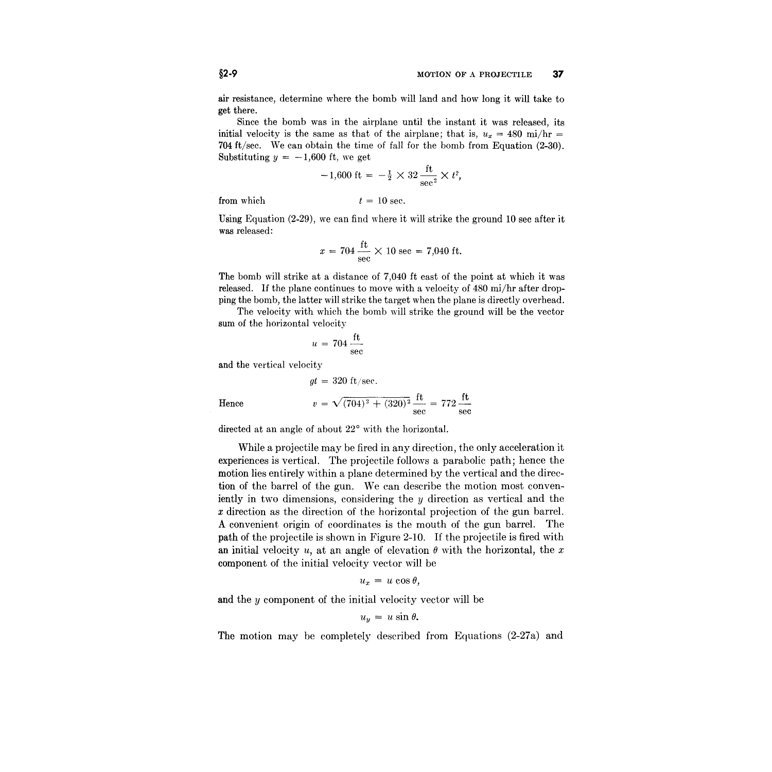air resistance, determine where the bomb will land and how long it will take to get there.

Since the bomb was in the airplane until the instant it was released, its initial velocity is the same as that of the airplane; that is,  $u_x = 480$  mi/hr 704 ft/sec. We can obtain the time of fall for the bomb from Equation (2-30). Substituting  $y = -1,600$  ft, we get

$$
-1,600 \text{ ft} = -\frac{1}{2} \times 32 \frac{\text{ft}}{\text{sec}^2} \times t^2,
$$

from which  $t = 10 \text{ sec.}$ 

Using Equation (2-29), we can find where it will strike the ground 10 sec after it was released:

$$
x = 704 \frac{\text{ft}}{\text{sec}} \times 10 \text{ sec} = 7{,}040 \text{ ft}.
$$

The bomb will strike at a distance of 7,040 ft east of the point at which it was released. If the plane continues to move with a velocity of 480 mi/hr after dropping the bomb, the latter will strike the target when the plane is directly overhead.

The velocity with which the bomb will strike the ground will be the vector sum of the horizontal velocity

$$
u = 704 \frac{\text{ft}}{\text{sec}}
$$

and the vertical velocity

$$
gt = 320 \text{ ft/sec.}
$$
  
Hence  $v = \sqrt{(704)^2 + (320)^2} \frac{\text{ft}}{\text{sec}} = 772 \frac{\text{ft}}{\text{sec}}$ 

directed at an angle of about 22° with the horizontal.

While a projectile may be fired in any direction, the only acceleration it experiences is vertical. The projectile follows a parabolic path; hence the motion lies entirely within a plane determined by the vertical and the direction of the barrel of the gun. We can describe the motion most conveniently in two dimensions, considering the *y* direction as vertical and the *x* direction as the direction of the horizontal projection of the gun barrel. A convenient origin of coordinates is the mouth of the gun barrel. The path of the projectile is shown in Figure 2-10. If the projectile is fired with an initial velocity  $u$ , at an angle of elevation  $\theta$  with the horizontal, the x component of the initial velocity vector will be

$$
u_x = u \cos \theta,
$$

and the y component of the initial velocity vector will be

$$
u_y = u \sin \theta.
$$

The motion may be completely described from Equations (2-27a) and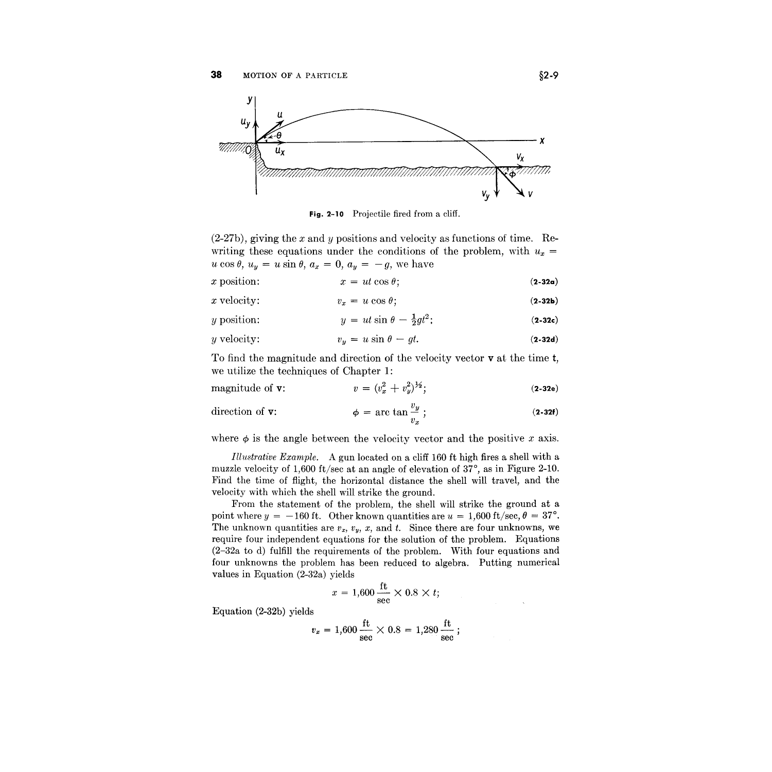

**Fig.2-10** Projectile fired from a cliff.

(2-27b), giving the *x* and *y* positions and velocity as functions of time. Rewriting these equations under the conditions of the problem, with  $u_x$  =  $u \cos \theta$ ,  $u_y = u \sin \theta$ ,  $a_x = 0$ ,  $a_y = -g$ , we have

$$
x \text{ position:} \qquad \qquad x = ut \cos \theta; \qquad \qquad (2-32a)
$$

$$
x \text{ velocity:} \qquad \qquad v_x = u \cos \theta; \qquad \qquad (2-32b)
$$

y position: 
$$
y = ut \sin \theta - \frac{1}{2}gt^2
$$
; (2-32c)

y velocity: 
$$
v_y = u \sin \theta - gt.
$$
 (2-32d)

To find the magnitude and direction of the velocity vector v at the time t, we utilize the techniques of Chapter 1:

magnitude of **v**: 
$$
v = (v_x^2 + v_y^2)^{\frac{1}{2}};
$$
 (2-32e)

direction of **v**: 
$$
\phi = \arctan \frac{v_y}{v_x}
$$
; (2-32f)

where  $\phi$  is the angle between the velocity vector and the positive *x* axis.

*Illustrative Example.* A gun located on a cliff 160 ft high fires a shell with a muzzle velocity of 1,600 ft/sec at an angle of elevation of 37°, as in Figure 2-10. Find the time of flight, the horizontal distance the shell will travel, and the velocity with which the shell will strike the ground.

From the statement of the problem, the shell will strike the ground at a From the statement of the problem, the shell will strike the ground at a point where  $y = -160$  ft. Other known quantities are  $u = 1,600$  ft/sec,  $\theta = 37^{\circ}$ . The unknown quantities are  $v_x$ ,  $v_y$ ,  $x$ , and  $t$ . Since there are four unknowns, we require four independent equations for the solution of the problem. Equations (2-32a to d) fulfill the requirements of the problem. With four equations and four unknowns the problem has been reduced to algebra. Putting numerical values in Equation (2-32a) yields

$$
x = 1,600 \frac{\text{ft}}{\text{sec}} \times 0.8 \times t;
$$

Equation (2-32b) yields

$$
v_x = 1,600 \frac{\text{ft}}{\text{sec}} \times 0.8 = 1,280 \frac{\text{ft}}{\text{sec}};
$$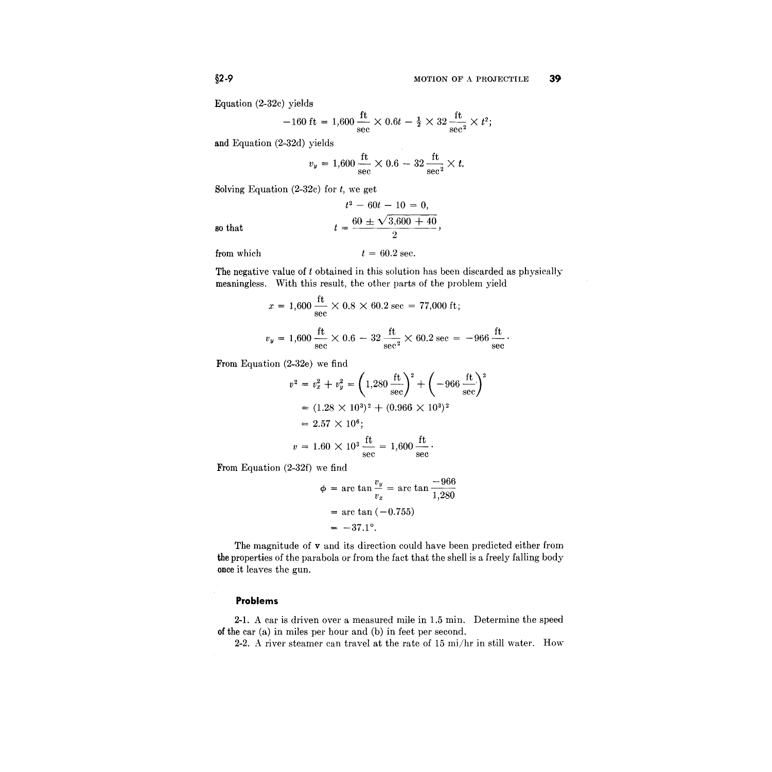Equation (2-32c) yields

$$
-160 \text{ ft} = 1,600 \frac{\text{ft}}{\text{sec}} \times 0.6t - \frac{1}{2} \times 32 \frac{\text{ft}}{\text{sec}^2} \times t^2;
$$

and Equation (2-32d) yields

$$
v_y = 1,600 \frac{\text{ft}}{\text{sec}} \times 0.6 - 32 \frac{\text{ft}}{\text{sec}^2} \times t.
$$

Solving Equation (2-32c) for *t,* we get

$$
t^3 - 60t - 10 = 0,
$$
  
so that 
$$
t = \frac{60 \pm \sqrt{3,600 + 40}}{2},
$$

from which  $t = 60.2$  sec.

The negative value of *t* obtained in this solution has been discarded as physically meaningless. With this result, the other parts of the problem yield

$$
x = 1,600 \frac{\text{ft}}{\text{sec}} \times 0.8 \times 60.2 \text{ sec} = 77,000 \text{ ft};
$$
  

$$
v_y = 1,600 \frac{\text{ft}}{\text{sec}} \times 0.6 - 32 \frac{\text{ft}}{\text{sec}^2} \times 60.2 \text{ sec} = -966 \frac{\text{ft}}{\text{sec}}.
$$

From Equation (2-32e) we find

$$
v^2 = v_x^2 + v_y^2 = \left(1,280 \frac{\text{ft}}{\text{sec}}\right)^2 + \left(-966 \frac{\text{ft}}{\text{sec}}\right)^2
$$
  
=  $(1.28 \times 10^3)^2 + (0.966 \times 10^3)^2$   
=  $2.57 \times 10^6$ ;  
 $v = 1.60 \times 10^3 \frac{\text{ft}}{\text{sec}} = 1,600 \frac{\text{ft}}{\text{sec}}$ .

From Equation (2-32£) we find

we find  
\n
$$
\phi = \arctan \frac{v_y}{v_x} = \arctan \frac{-966}{1,280}
$$
  
\n=  $\arctan (-0.755)$   
\n= -37.1°.

The magnitude of v and its direction could have been predicted either from the properties of the parabola or from the fact that the shell is a freely falling body once it leaves the gun.

### **Problems**

2-1. A car is driven over a measured mile in 1.5 min. Determine the speed of the car (a) in miles per hour and (b) in feet per second.

2-2. A river steamer can travel at the rate of  $15 \text{ mi/hr}$  in still water. How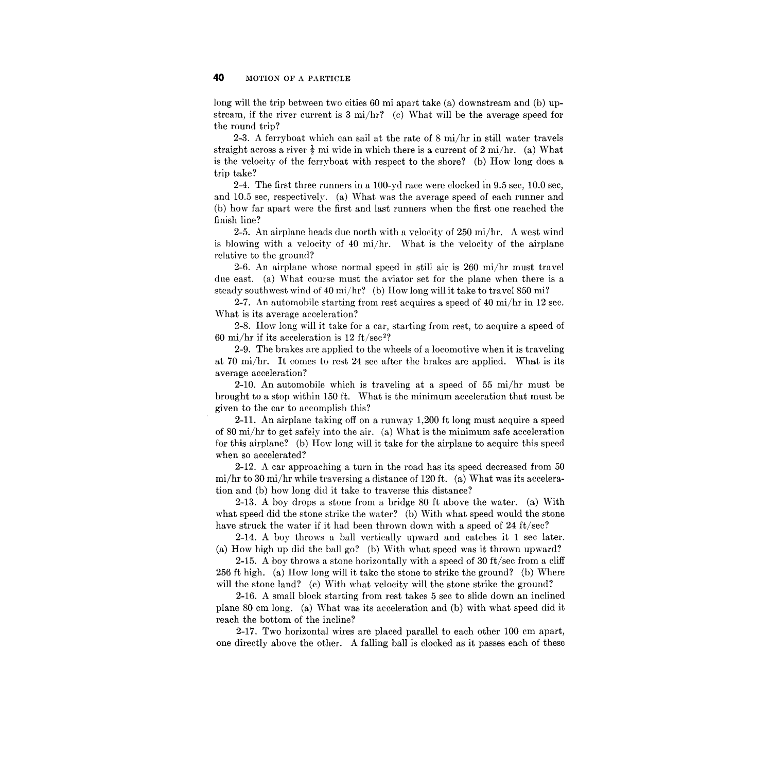long will the trip between two cities 60 mi apart take (a) downstream and (b) upstream, if the river current is  $3 \text{ mi/hr}$ ? (c) What will be the average speed for the round trip?

2-3. A ferryboat which can sail at the rate of 8 mi/hr in still water travels straight across a river  $\frac{1}{2}$  mi wide in which there is a current of 2 mi/hr. (a) What is the velocity of the ferryboat with respect to the shore? (b) How long does a trip take?

2-4. The first three runners in a 100-yd race were clocked in 9.5 sec, 10.0 sec, and 10.5 sec, respectively. (a) What was the average speed of each runner and (b) how far apart were the first and last runners when the first one reached the finish line?

2-5. An airplane heads due north with a velocity of 250 mi/hr. A west wind is blowing with a velocity of 40 mi/hr. What is the velocity of the airplane relative to the ground?

2-6. An airplane whose normal speed in still air is 260 mi/hr must travel due east. (a) What course must the aviator set for the plane when there is a steady southwest wind of  $40 \text{ mi/hr}$ ? (b) How long will it take to travel 850 mi?

2-7. An automobile starting from rest acquires a speed of 40 mi/hr in 12 sec. What is its average acceleration?

2-8. How long will it take for a car, starting from rest, to acquire a speed of 60 mi/hr if its acceleration is  $12 \text{ ft/sec}^2$ ?

2-9. The brakes are applied to the wheels of a locomotive when it is traveling at <sup>70</sup> mi/hr. It comes to rest <sup>24</sup> sec after the brakes are applied. What is its average acceleration?

2-10. An automobile which is traveling at a speed of 55 mi/hr must be brought to a stop within 150 ft. What is the minimum acceleration that must be given to the car to accomplish this?

2-11. An airplane taking off on a runway 1,200 ft long must acquire a speed of 80 mi/hr to get safely into the air. (a) What is the minimum safe acceleration for this airplane? (b) How long will it take for the airplane to acquire this speed when so accelerated?

2-12. A car approaching a turn in the road has its speed decreased from 50 mi/hr to 30 mi/hr while traversing a distance of 120 ft. (a) What was its acceleration and (b) how long did it take to traverse this distance?

2-13. A boy drops a stone from a bridge 80 ft above the water. (a) With what speed did the stone strike the water? (b) With what speed would the stone have struck the water if it had been thrown down with a speed of 24 ft/sec?

2-14. A boy throws a ball vertically upward and catches it 1 sec later. (a) How high up did the ball go? (b) With what speed was it thrown upward?

2-15. A boy throws a stone horizontally with a speed of 30 ft/sec from a cliff 256 ft high. (a) How long will it take the stone to strike the ground? (b) Where will the stone land? (c) With what velocity will the stone strike the ground?

2-16. A small block starting from rest takes 5 sec to slide down an inclined plane 80 cm long. (a) What was its acceleration and (b) with what speed did it reach the bottom of the incline?

2-17. Two horizontal wires are placed parallel to each other 100 cm apart, one directly above the other. A falling ball is clocked as it passes each of these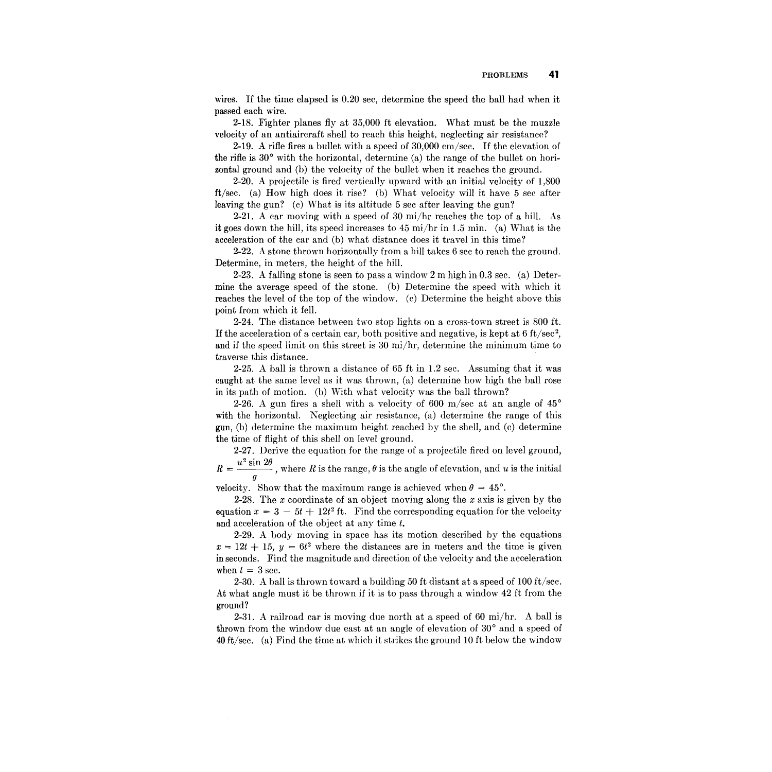wires. If the time elapsed is 0.20 sec, determine the speed the ball had when it passed each wire.

2-18. Fighter planes fly at 35,000 ft elevation. What must be the muzzle velocity of an antiaircraft shell to reach this height. neglecting air resistance?

2-19. A rifle fires a bullet with a speed of 30,000 cm/sec. If the elevation of the rifle is 30° with the horizontal, determine (a) the range of the bullet on horizontal ground and (b) the velocity of the bullet when it reaches the ground.

2-20. A projectile is fired vertically upward with an initial velocity of 1,800 ft/sec. (a) How high does it rise? (b) What velocity will it have 5 sec after leaving the gun? (c) What is its altitude 5 sec after leaving the gun?

2-21. A car moving with a speed of 30 mi/hr reaches the top of a hill. As it goes down the hill, its speed increases to 45 mi/hr in 1.5 min. (a) What is the acceleration of the car and (b) what distance does it travel in this time?

2-22. A stone thrown horizontally from a hill takes 6 sec to reach the ground. Determine, in meters, the height of the hill.

2-23. A falling stone is seen to pass a window 2 m high in 0.3 sec. (a) Determine the average speed of the stone. (b) Determine the speed with which it reaches the level of the top of the window. (c) Determine the height above this point from which it fell.

2-24. The distance between two stop lights on a cross-town street is 800 ft. If the acceleration of a certain car, both positive and negative, is kept at 6 ft/sec<sup>2</sup>, and if the speed limit on this street is 30 mi/hr, determine the minimum time to traverse this distance.

2-25. A ball is thrown a distance of 65 ft in 1.2 sec. Assuming that it was caught at the same level as it was thrown, (a) determine how high the ball rose in its path of motion. (b) With what velocity was the ball thrown?

2-26. A gun fires a shell with a velocity of 600 m/sec at an angle of  $45^{\circ}$ with the horizontal. Neglecting air resistance, (a) determine the range of this gun, (b) determine the maximum height reached by the shell, and (c) determine the time of flight of this shell on level ground.

2-27. Derive the equation for the range of a projectile fired on level ground,  $R = \frac{u^2 \sin 2\theta}{g}$ , where *R* is the range,  $\theta$  is the angle of elevation, and *u* is the initial

velocity. Show that the maximum range is achieved when  $\theta = 45^{\circ}$ .

2-28. The *x* coordinate of an object moving along the *x* axis is given by the equation  $x = 3 - 5t + 12t^2$  ft. Find the corresponding equation for the velocity and acceleration of the object at any time *t.*

2-29. A body moving in space has its motion described by the equations  $x = 12t + 15$ ,  $y = 6t<sup>2</sup>$  where the distances are in meters and the time is given in seconds. Find the magnitude and direction of the velocity and the acceleration when  $t = 3$  sec.

2-30. A ball is thrown toward a building 50 ft distant at a speed of 100 ft/sec. At what angle must it be thrown if it is to pass through a window 42 ft from the ground?

2-31. A railroad car is moving due north at a speed of 60 mi/hr. A ball is thrown from the window due east at an angle of elevation of 30° and a speed of 40 ft/sec. (a) Find the time at which it strikes the ground 10 ft below the window